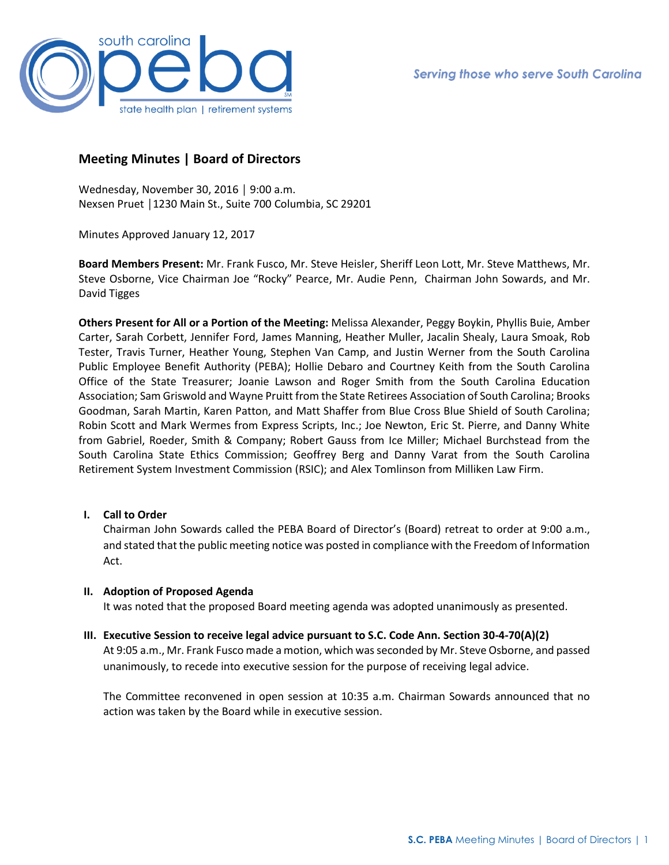

# **Meeting Minutes | Board of Directors**

Wednesday, November 30, 2016 │ 9:00 a.m. Nexsen Pruet │1230 Main St., Suite 700 Columbia, SC 29201

Minutes Approved January 12, 2017

**Board Members Present:** Mr. Frank Fusco, Mr. Steve Heisler, Sheriff Leon Lott, Mr. Steve Matthews, Mr. Steve Osborne, Vice Chairman Joe "Rocky" Pearce, Mr. Audie Penn, Chairman John Sowards, and Mr. David Tigges

**Others Present for All or a Portion of the Meeting:** Melissa Alexander, Peggy Boykin, Phyllis Buie, Amber Carter, Sarah Corbett, Jennifer Ford, James Manning, Heather Muller, Jacalin Shealy, Laura Smoak, Rob Tester, Travis Turner, Heather Young, Stephen Van Camp, and Justin Werner from the South Carolina Public Employee Benefit Authority (PEBA); Hollie Debaro and Courtney Keith from the South Carolina Office of the State Treasurer; Joanie Lawson and Roger Smith from the South Carolina Education Association; Sam Griswold and Wayne Pruitt from the State Retirees Association of South Carolina; Brooks Goodman, Sarah Martin, Karen Patton, and Matt Shaffer from Blue Cross Blue Shield of South Carolina; Robin Scott and Mark Wermes from Express Scripts, Inc.; Joe Newton, Eric St. Pierre, and Danny White from Gabriel, Roeder, Smith & Company; Robert Gauss from Ice Miller; Michael Burchstead from the South Carolina State Ethics Commission; Geoffrey Berg and Danny Varat from the South Carolina Retirement System Investment Commission (RSIC); and Alex Tomlinson from Milliken Law Firm.

# **I. Call to Order**

Chairman John Sowards called the PEBA Board of Director's (Board) retreat to order at 9:00 a.m., and stated that the public meeting notice was posted in compliance with the Freedom of Information Act.

# **II. Adoption of Proposed Agenda**

It was noted that the proposed Board meeting agenda was adopted unanimously as presented.

### **III. Executive Session to receive legal advice pursuant to S.C. Code Ann. Section 30-4-70(A)(2)**

At 9:05 a.m., Mr. Frank Fusco made a motion, which was seconded by Mr. Steve Osborne, and passed unanimously, to recede into executive session for the purpose of receiving legal advice.

The Committee reconvened in open session at 10:35 a.m. Chairman Sowards announced that no action was taken by the Board while in executive session.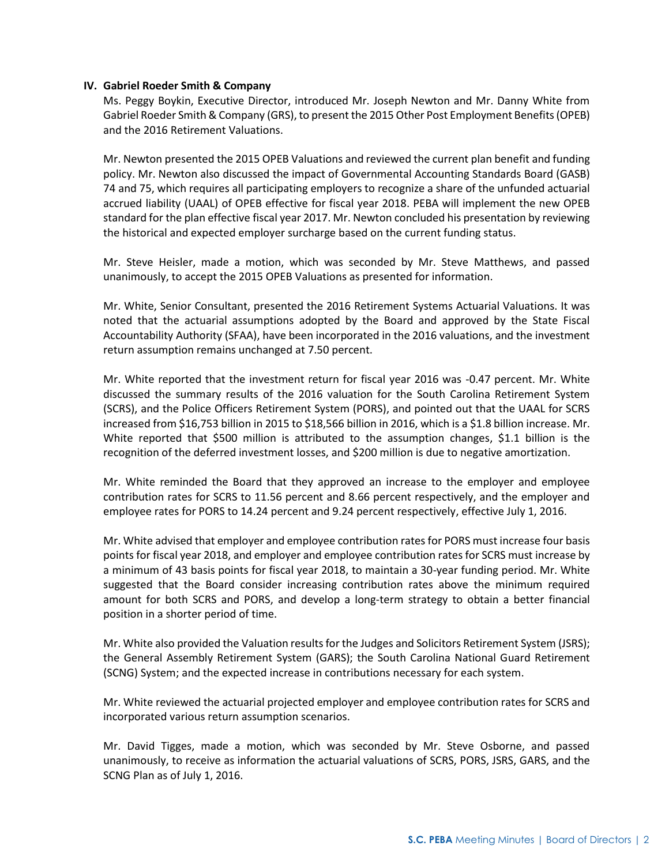### **IV. Gabriel Roeder Smith & Company**

Ms. Peggy Boykin, Executive Director, introduced Mr. Joseph Newton and Mr. Danny White from Gabriel Roeder Smith & Company (GRS), to present the 2015 Other Post Employment Benefits (OPEB) and the 2016 Retirement Valuations.

Mr. Newton presented the 2015 OPEB Valuations and reviewed the current plan benefit and funding policy. Mr. Newton also discussed the impact of Governmental Accounting Standards Board (GASB) 74 and 75, which requires all participating employers to recognize a share of the unfunded actuarial accrued liability (UAAL) of OPEB effective for fiscal year 2018. PEBA will implement the new OPEB standard for the plan effective fiscal year 2017. Mr. Newton concluded his presentation by reviewing the historical and expected employer surcharge based on the current funding status.

Mr. Steve Heisler, made a motion, which was seconded by Mr. Steve Matthews, and passed unanimously, to accept the 2015 OPEB Valuations as presented for information.

Mr. White, Senior Consultant, presented the 2016 Retirement Systems Actuarial Valuations. It was noted that the actuarial assumptions adopted by the Board and approved by the State Fiscal Accountability Authority (SFAA), have been incorporated in the 2016 valuations, and the investment return assumption remains unchanged at 7.50 percent.

Mr. White reported that the investment return for fiscal year 2016 was -0.47 percent. Mr. White discussed the summary results of the 2016 valuation for the South Carolina Retirement System (SCRS), and the Police Officers Retirement System (PORS), and pointed out that the UAAL for SCRS increased from \$16,753 billion in 2015 to \$18,566 billion in 2016, which is a \$1.8 billion increase. Mr. White reported that \$500 million is attributed to the assumption changes, \$1.1 billion is the recognition of the deferred investment losses, and \$200 million is due to negative amortization.

Mr. White reminded the Board that they approved an increase to the employer and employee contribution rates for SCRS to 11.56 percent and 8.66 percent respectively, and the employer and employee rates for PORS to 14.24 percent and 9.24 percent respectively, effective July 1, 2016.

Mr. White advised that employer and employee contribution rates for PORS must increase four basis points for fiscal year 2018, and employer and employee contribution rates for SCRS must increase by a minimum of 43 basis points for fiscal year 2018, to maintain a 30-year funding period. Mr. White suggested that the Board consider increasing contribution rates above the minimum required amount for both SCRS and PORS, and develop a long-term strategy to obtain a better financial position in a shorter period of time.

Mr. White also provided the Valuation results for the Judges and Solicitors Retirement System (JSRS); the General Assembly Retirement System (GARS); the South Carolina National Guard Retirement (SCNG) System; and the expected increase in contributions necessary for each system.

Mr. White reviewed the actuarial projected employer and employee contribution rates for SCRS and incorporated various return assumption scenarios.

Mr. David Tigges, made a motion, which was seconded by Mr. Steve Osborne, and passed unanimously, to receive as information the actuarial valuations of SCRS, PORS, JSRS, GARS, and the SCNG Plan as of July 1, 2016.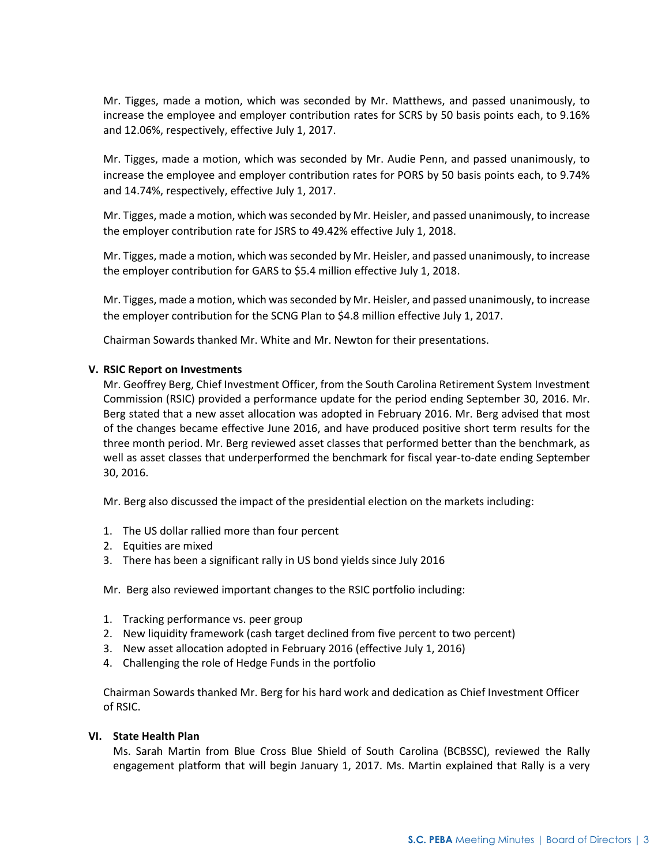Mr. Tigges, made a motion, which was seconded by Mr. Matthews, and passed unanimously, to increase the employee and employer contribution rates for SCRS by 50 basis points each, to 9.16% and 12.06%, respectively, effective July 1, 2017.

Mr. Tigges, made a motion, which was seconded by Mr. Audie Penn, and passed unanimously, to increase the employee and employer contribution rates for PORS by 50 basis points each, to 9.74% and 14.74%, respectively, effective July 1, 2017.

Mr. Tigges, made a motion, which was seconded by Mr. Heisler, and passed unanimously, to increase the employer contribution rate for JSRS to 49.42% effective July 1, 2018.

Mr. Tigges, made a motion, which was seconded by Mr. Heisler, and passed unanimously, to increase the employer contribution for GARS to \$5.4 million effective July 1, 2018.

Mr. Tigges, made a motion, which was seconded by Mr. Heisler, and passed unanimously, to increase the employer contribution for the SCNG Plan to \$4.8 million effective July 1, 2017.

Chairman Sowards thanked Mr. White and Mr. Newton for their presentations.

### **V. RSIC Report on Investments**

Mr. Geoffrey Berg, Chief Investment Officer, from the South Carolina Retirement System Investment Commission (RSIC) provided a performance update for the period ending September 30, 2016. Mr. Berg stated that a new asset allocation was adopted in February 2016. Mr. Berg advised that most of the changes became effective June 2016, and have produced positive short term results for the three month period. Mr. Berg reviewed asset classes that performed better than the benchmark, as well as asset classes that underperformed the benchmark for fiscal year-to-date ending September 30, 2016.

Mr. Berg also discussed the impact of the presidential election on the markets including:

- 1. The US dollar rallied more than four percent
- 2. Equities are mixed
- 3. There has been a significant rally in US bond yields since July 2016

Mr. Berg also reviewed important changes to the RSIC portfolio including:

- 1. Tracking performance vs. peer group
- 2. New liquidity framework (cash target declined from five percent to two percent)
- 3. New asset allocation adopted in February 2016 (effective July 1, 2016)
- 4. Challenging the role of Hedge Funds in the portfolio

Chairman Sowards thanked Mr. Berg for his hard work and dedication as Chief Investment Officer of RSIC.

### **VI. State Health Plan**

Ms. Sarah Martin from Blue Cross Blue Shield of South Carolina (BCBSSC), reviewed the Rally engagement platform that will begin January 1, 2017. Ms. Martin explained that Rally is a very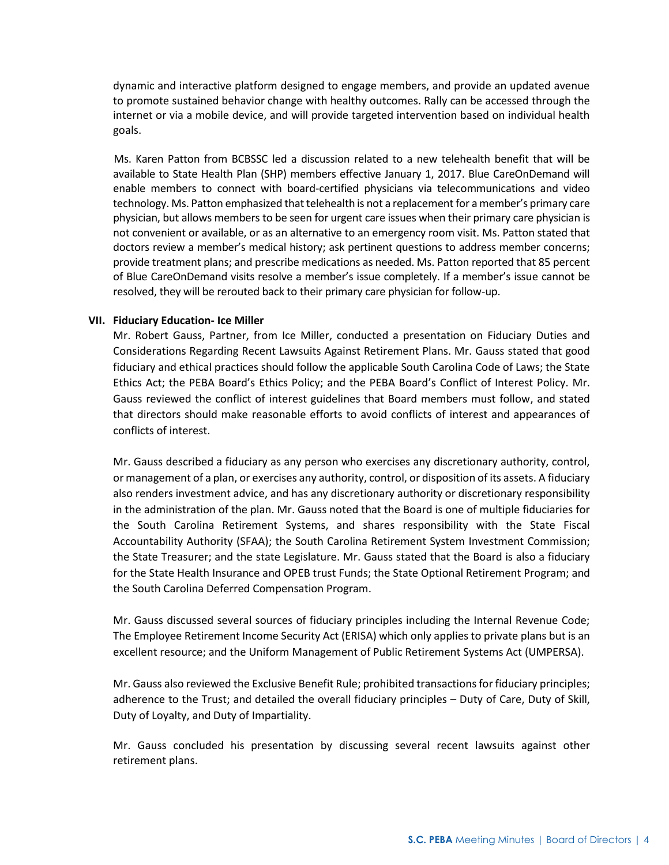dynamic and interactive platform designed to engage members, and provide an updated avenue to promote sustained behavior change with healthy outcomes. Rally can be accessed through the internet or via a mobile device, and will provide targeted intervention based on individual health goals.

 Ms. Karen Patton from BCBSSC led a discussion related to a new telehealth benefit that will be available to State Health Plan (SHP) members effective January 1, 2017. Blue CareOnDemand will enable members to connect with board-certified physicians via telecommunications and video technology. Ms. Patton emphasized that telehealth is not a replacement for a member's primary care physician, but allows members to be seen for urgent care issues when their primary care physician is not convenient or available, or as an alternative to an emergency room visit. Ms. Patton stated that doctors review a member's medical history; ask pertinent questions to address member concerns; provide treatment plans; and prescribe medications as needed. Ms. Patton reported that 85 percent of Blue CareOnDemand visits resolve a member's issue completely. If a member's issue cannot be resolved, they will be rerouted back to their primary care physician for follow-up.

#### **VII. Fiduciary Education- Ice Miller**

Mr. Robert Gauss, Partner, from Ice Miller, conducted a presentation on Fiduciary Duties and Considerations Regarding Recent Lawsuits Against Retirement Plans. Mr. Gauss stated that good fiduciary and ethical practices should follow the applicable South Carolina Code of Laws; the State Ethics Act; the PEBA Board's Ethics Policy; and the PEBA Board's Conflict of Interest Policy. Mr. Gauss reviewed the conflict of interest guidelines that Board members must follow, and stated that directors should make reasonable efforts to avoid conflicts of interest and appearances of conflicts of interest.

Mr. Gauss described a fiduciary as any person who exercises any discretionary authority, control, or management of a plan, or exercises any authority, control, or disposition of its assets. A fiduciary also renders investment advice, and has any discretionary authority or discretionary responsibility in the administration of the plan. Mr. Gauss noted that the Board is one of multiple fiduciaries for the South Carolina Retirement Systems, and shares responsibility with the State Fiscal Accountability Authority (SFAA); the South Carolina Retirement System Investment Commission; the State Treasurer; and the state Legislature. Mr. Gauss stated that the Board is also a fiduciary for the State Health Insurance and OPEB trust Funds; the State Optional Retirement Program; and the South Carolina Deferred Compensation Program.

Mr. Gauss discussed several sources of fiduciary principles including the Internal Revenue Code; The Employee Retirement Income Security Act (ERISA) which only applies to private plans but is an excellent resource; and the Uniform Management of Public Retirement Systems Act (UMPERSA).

Mr. Gauss also reviewed the Exclusive Benefit Rule; prohibited transactions for fiduciary principles; adherence to the Trust; and detailed the overall fiduciary principles – Duty of Care, Duty of Skill, Duty of Loyalty, and Duty of Impartiality.

Mr. Gauss concluded his presentation by discussing several recent lawsuits against other retirement plans.